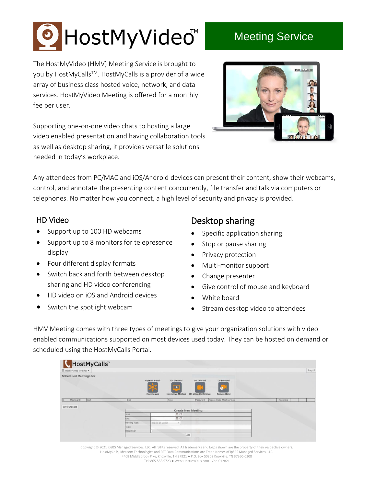## HostMyVideo<sup>™</sup>

## Meeting Service

The HostMyVideo (HMV) Meeting Service is brought to you by HostMyCalls™. HostMyCalls is a provider of a wide array of business class hosted voice, network, and data services. HostMyVideo Meeting is offered for a monthly fee per user.

Supporting one-on-one video chats to hosting a large video enabled presentation and having collaboration tools as well as desktop sharing, it provides versatile solutions needed in today's workplace.



Any attendees from PC/MAC and iOS/Android devices can present their content, show their webcams, control, and annotate the presenting content concurrently, file transfer and talk via computers or telephones. No matter how you connect, a high level of security and privacy is provided.

## HD Video

- Support up to 100 HD webcams
- Support up to 8 monitors for telepresence display
- Four different display formats
- Switch back and forth between desktop sharing and HD video conferencing
- HD video on iOS and Android devices
- Switch the spotlight webcam

## Desktop sharing

- Specific application sharing
- Stop or pause sharing
- Privacy protection
- Multi-monitor support
- Change presenter
- Give control of mouse and keyboard
- White board
- Stream desktop video to attendees

HMV Meeting comes with three types of meetings to give your organization solutions with video enabled communications supported on most devices used today. They can be hosted on demand or scheduled using the HostMyCalls Portal.

| ₹ HostMyCalls™<br><sup>■</sup> HostMyVideo Meetings |               |                                                                                         | the control of the control of                                       |           | Logout |
|-----------------------------------------------------|---------------|-----------------------------------------------------------------------------------------|---------------------------------------------------------------------|-----------|--------|
| <b>Scheduled Meetings for</b>                       |               | Open or Install<br>On Demand<br><b>IEM</b><br>Meeting App<br><b>Interactive Meeting</b> | On Demand<br>On Demand<br><b>HD Video Conference</b><br>Remote Hand |           |        |
| Meeting ID<br>Start<br>ID.                          | End           | Type                                                                                    | Access Code Meeting Topic<br>Password                               | Recurring |        |
| Save Changes                                        |               |                                                                                         |                                                                     |           |        |
|                                                     |               |                                                                                         | <b>Create New Meeting</b>                                           |           |        |
|                                                     | Start         | <b>EO</b>                                                                               |                                                                     |           |        |
|                                                     | End           | <b>DO</b>                                                                               |                                                                     |           |        |
|                                                     | Meeting Type: | Select an Option<br>$\tau$                                                              |                                                                     |           |        |
|                                                     | Topic:        |                                                                                         |                                                                     |           |        |
|                                                     | Recurring?    |                                                                                         |                                                                     |           |        |
|                                                     |               |                                                                                         | Add                                                                 |           |        |

Copyright © 2021 ipSBS Managed Services, LLC. All rights reserved. All trademarks and logos shown are the property of their respective owners. HostMyCalls, Ideacom Technologies and EET Data Communications are Trade Names of ipSBS Managed Services, LLC. 4408 Middlebrook Pike, Knoxville, TN 37921 ● P.O. Box 50308 Knoxville, TN 37950-0308 Tel: 865.588.5723 ● Web: HostMyCalls.com Ver. 012821